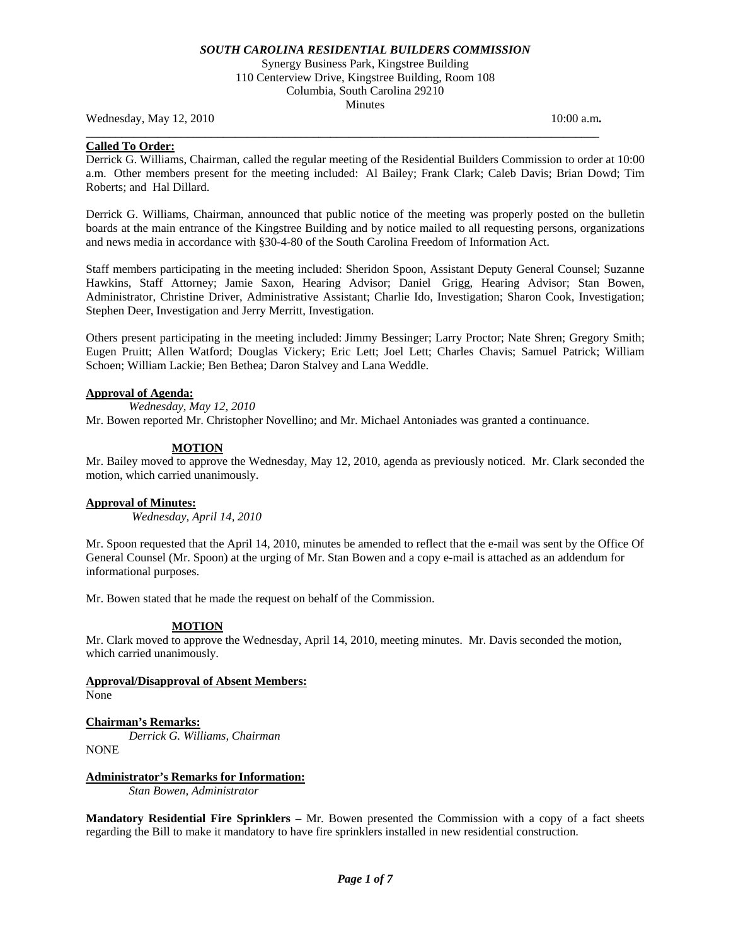Synergy Business Park, Kingstree Building 110 Centerview Drive, Kingstree Building, Room 108 Columbia, South Carolina 29210 Minutes

**\_\_\_\_\_\_\_\_\_\_\_\_\_\_\_\_\_\_\_\_\_\_\_\_\_\_\_\_\_\_\_\_\_\_\_\_\_\_\_\_\_\_\_\_\_\_\_\_\_\_\_\_\_\_\_\_\_\_\_\_\_\_\_\_\_\_\_\_\_\_\_\_\_\_\_\_\_\_\_\_\_\_\_\_\_\_** 

Wednesday, May 12, 2010 10:00 a.m. **10:00 a.m. 10:00 a.m. 10:00 a.m.** 

## **Called To Order:**

Derrick G. Williams, Chairman, called the regular meeting of the Residential Builders Commission to order at 10:00 a.m. Other members present for the meeting included: Al Bailey; Frank Clark; Caleb Davis; Brian Dowd; Tim Roberts; and Hal Dillard.

Derrick G. Williams, Chairman, announced that public notice of the meeting was properly posted on the bulletin boards at the main entrance of the Kingstree Building and by notice mailed to all requesting persons, organizations and news media in accordance with §30-4-80 of the South Carolina Freedom of Information Act.

Staff members participating in the meeting included: Sheridon Spoon, Assistant Deputy General Counsel; Suzanne Hawkins, Staff Attorney; Jamie Saxon, Hearing Advisor; Daniel Grigg, Hearing Advisor; Stan Bowen, Administrator, Christine Driver, Administrative Assistant; Charlie Ido, Investigation; Sharon Cook, Investigation; Stephen Deer, Investigation and Jerry Merritt, Investigation.

Others present participating in the meeting included: Jimmy Bessinger; Larry Proctor; Nate Shren; Gregory Smith; Eugen Pruitt; Allen Watford; Douglas Vickery; Eric Lett; Joel Lett; Charles Chavis; Samuel Patrick; William Schoen; William Lackie; Ben Bethea; Daron Stalvey and Lana Weddle.

## **Approval of Agenda:**

*Wednesday, May 12, 2010* 

Mr. Bowen reported Mr. Christopher Novellino; and Mr. Michael Antoniades was granted a continuance.

## **MOTION**

Mr. Bailey moved to approve the Wednesday, May 12, 2010, agenda as previously noticed. Mr. Clark seconded the motion, which carried unanimously.

## **Approval of Minutes:**

*Wednesday, April 14, 2010* 

Mr. Spoon requested that the April 14, 2010, minutes be amended to reflect that the e-mail was sent by the Office Of General Counsel (Mr. Spoon) at the urging of Mr. Stan Bowen and a copy e-mail is attached as an addendum for informational purposes.

Mr. Bowen stated that he made the request on behalf of the Commission.

## **MOTION**

Mr. Clark moved to approve the Wednesday, April 14, 2010, meeting minutes. Mr. Davis seconded the motion, which carried unanimously.

# **Approval/Disapproval of Absent Members:**

None

## **Chairman's Remarks:**

*Derrick G. Williams, Chairman*  NONE

## **Administrator's Remarks for Information:**

 *Stan Bowen, Administrator* 

**Mandatory Residential Fire Sprinklers –** Mr. Bowen presented the Commission with a copy of a fact sheets regarding the Bill to make it mandatory to have fire sprinklers installed in new residential construction.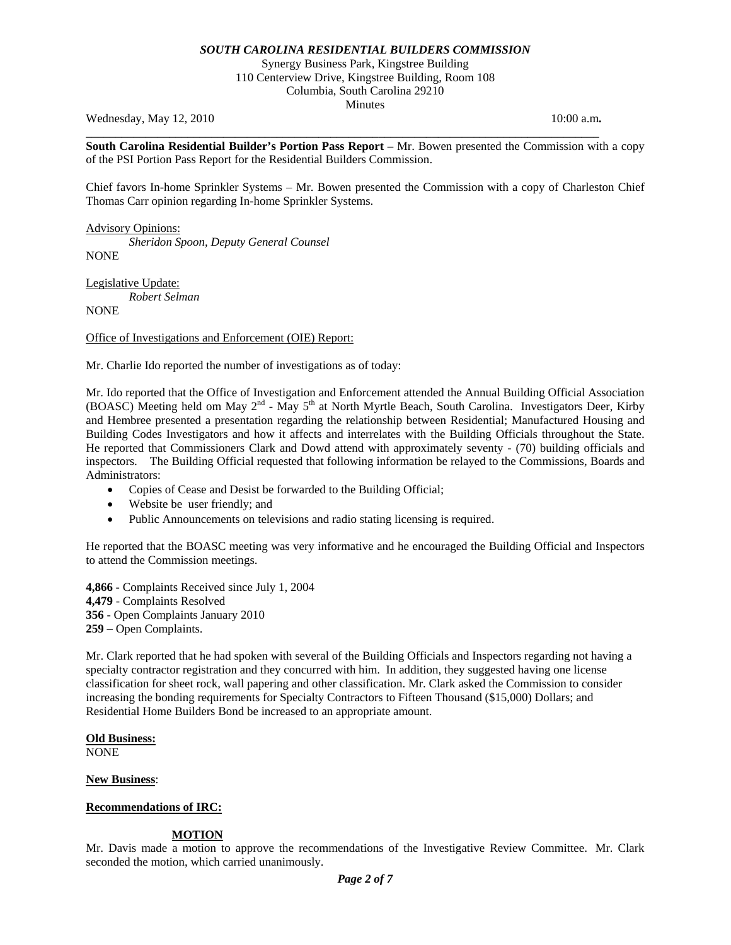Synergy Business Park, Kingstree Building 110 Centerview Drive, Kingstree Building, Room 108 Columbia, South Carolina 29210 Minutes

Wednesday, May 12, 2010 **10:00 a.m. 10:00 a.m. 10:00 a.m.** 

**South Carolina Residential Builder's Portion Pass Report –** Mr. Bowen presented the Commission with a copy of the PSI Portion Pass Report for the Residential Builders Commission.

**\_\_\_\_\_\_\_\_\_\_\_\_\_\_\_\_\_\_\_\_\_\_\_\_\_\_\_\_\_\_\_\_\_\_\_\_\_\_\_\_\_\_\_\_\_\_\_\_\_\_\_\_\_\_\_\_\_\_\_\_\_\_\_\_\_\_\_\_\_\_\_\_\_\_\_\_\_\_\_\_\_\_\_\_\_\_** 

Chief favors In-home Sprinkler Systems – Mr. Bowen presented the Commission with a copy of Charleston Chief Thomas Carr opinion regarding In-home Sprinkler Systems.

Advisory Opinions: *Sheridon Spoon, Deputy General Counsel*  **NONE** 

Legislative Update: *Robert Selman*  NONE

Office of Investigations and Enforcement (OIE) Report:

Mr. Charlie Ido reported the number of investigations as of today:

Mr. Ido reported that the Office of Investigation and Enforcement attended the Annual Building Official Association (BOASC) Meeting held om May 2<sup>nd</sup> - May 5<sup>th</sup> at North Myrtle Beach, South Carolina. Investigators Deer, Kirby and Hembree presented a presentation regarding the relationship between Residential; Manufactured Housing and Building Codes Investigators and how it affects and interrelates with the Building Officials throughout the State. He reported that Commissioners Clark and Dowd attend with approximately seventy - (70) building officials and inspectors. The Building Official requested that following information be relayed to the Commissions, Boards and Administrators:

- Copies of Cease and Desist be forwarded to the Building Official;
- Website be user friendly; and
- Public Announcements on televisions and radio stating licensing is required.

He reported that the BOASC meeting was very informative and he encouraged the Building Official and Inspectors to attend the Commission meetings.

**4,866 -** Complaints Received since July 1, 2004 **4,479** - Complaints Resolved **356 -** Open Complaints January 2010 **259** – Open Complaints.

Mr. Clark reported that he had spoken with several of the Building Officials and Inspectors regarding not having a specialty contractor registration and they concurred with him. In addition, they suggested having one license classification for sheet rock, wall papering and other classification. Mr. Clark asked the Commission to consider increasing the bonding requirements for Specialty Contractors to Fifteen Thousand (\$15,000) Dollars; and Residential Home Builders Bond be increased to an appropriate amount.

## **Old Business:**

NONE

## **New Business**:

## **Recommendations of IRC:**

## **MOTION**

Mr. Davis made a motion to approve the recommendations of the Investigative Review Committee. Mr. Clark seconded the motion, which carried unanimously.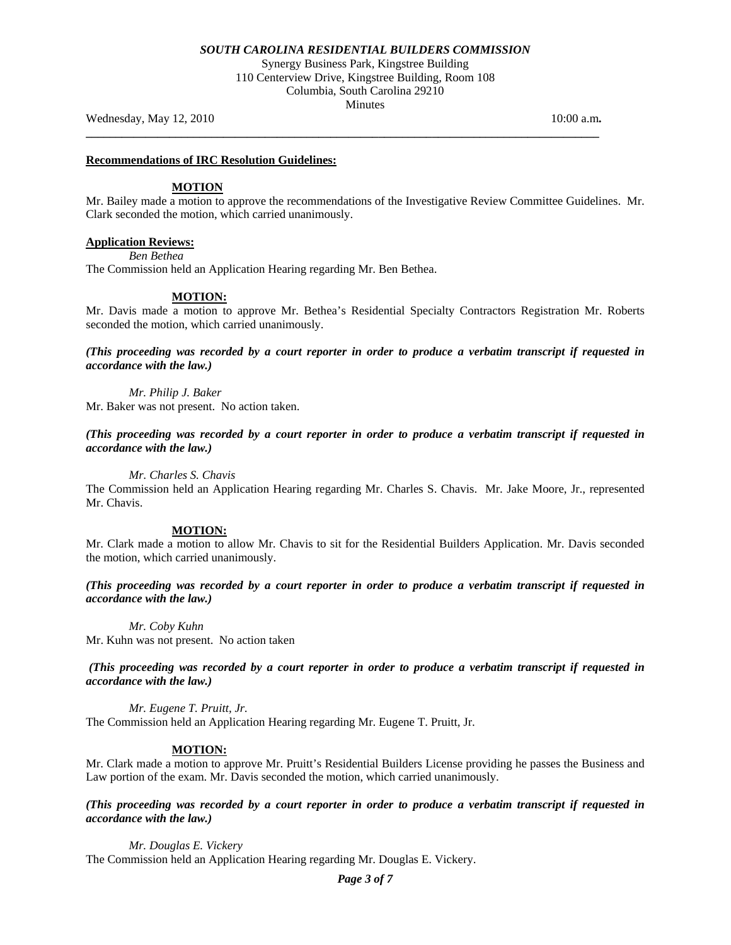Synergy Business Park, Kingstree Building 110 Centerview Drive, Kingstree Building, Room 108 Columbia, South Carolina 29210 Minutes

**\_\_\_\_\_\_\_\_\_\_\_\_\_\_\_\_\_\_\_\_\_\_\_\_\_\_\_\_\_\_\_\_\_\_\_\_\_\_\_\_\_\_\_\_\_\_\_\_\_\_\_\_\_\_\_\_\_\_\_\_\_\_\_\_\_\_\_\_\_\_\_\_\_\_\_\_\_\_\_\_\_\_\_\_\_\_** 

Wednesday, May 12, 2010 **10:00 a.m. 10:00 a.m. 10:00 a.m.** 

#### **Recommendations of IRC Resolution Guidelines:**

## **MOTION**

Mr. Bailey made a motion to approve the recommendations of the Investigative Review Committee Guidelines. Mr. Clark seconded the motion, which carried unanimously.

## **Application Reviews:**

*Ben Bethea* 

The Commission held an Application Hearing regarding Mr. Ben Bethea.

#### **MOTION:**

Mr. Davis made a motion to approve Mr. Bethea's Residential Specialty Contractors Registration Mr. Roberts seconded the motion, which carried unanimously.

*(This proceeding was recorded by a court reporter in order to produce a verbatim transcript if requested in accordance with the law.)* 

*Mr. Philip J. Baker*  Mr. Baker was not present. No action taken.

*(This proceeding was recorded by a court reporter in order to produce a verbatim transcript if requested in accordance with the law.)* 

*Mr. Charles S. Chavis* 

The Commission held an Application Hearing regarding Mr. Charles S. Chavis. Mr. Jake Moore, Jr., represented Mr. Chavis.

#### **MOTION:**

Mr. Clark made a motion to allow Mr. Chavis to sit for the Residential Builders Application. Mr. Davis seconded the motion, which carried unanimously.

*(This proceeding was recorded by a court reporter in order to produce a verbatim transcript if requested in accordance with the law.)* 

*Mr. Coby Kuhn* 

Mr. Kuhn was not present. No action taken

*(This proceeding was recorded by a court reporter in order to produce a verbatim transcript if requested in accordance with the law.)* 

*Mr. Eugene T. Pruitt, Jr.* 

The Commission held an Application Hearing regarding Mr. Eugene T. Pruitt, Jr.

## **MOTION:**

Mr. Clark made a motion to approve Mr. Pruitt's Residential Builders License providing he passes the Business and Law portion of the exam. Mr. Davis seconded the motion, which carried unanimously.

*(This proceeding was recorded by a court reporter in order to produce a verbatim transcript if requested in accordance with the law.)* 

*Mr. Douglas E. Vickery*  The Commission held an Application Hearing regarding Mr. Douglas E. Vickery.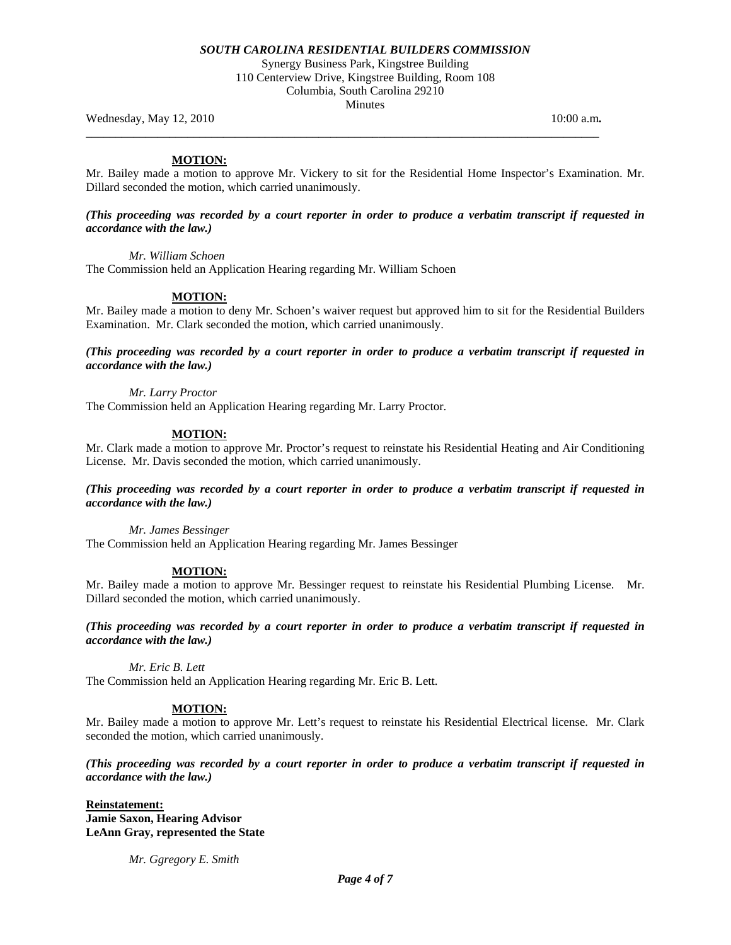Synergy Business Park, Kingstree Building 110 Centerview Drive, Kingstree Building, Room 108 Columbia, South Carolina 29210

Minutes

**\_\_\_\_\_\_\_\_\_\_\_\_\_\_\_\_\_\_\_\_\_\_\_\_\_\_\_\_\_\_\_\_\_\_\_\_\_\_\_\_\_\_\_\_\_\_\_\_\_\_\_\_\_\_\_\_\_\_\_\_\_\_\_\_\_\_\_\_\_\_\_\_\_\_\_\_\_\_\_\_\_\_\_\_\_\_** 

Wednesday, May 12, 2010 **10:00 a.m. 10:00 a.m. 10:00 a.m.** 

## **MOTION:**

Mr. Bailey made a motion to approve Mr. Vickery to sit for the Residential Home Inspector's Examination. Mr. Dillard seconded the motion, which carried unanimously.

## *(This proceeding was recorded by a court reporter in order to produce a verbatim transcript if requested in accordance with the law.)*

*Mr. William Schoen* 

The Commission held an Application Hearing regarding Mr. William Schoen

## **MOTION:**

Mr. Bailey made a motion to deny Mr. Schoen's waiver request but approved him to sit for the Residential Builders Examination. Mr. Clark seconded the motion, which carried unanimously.

*(This proceeding was recorded by a court reporter in order to produce a verbatim transcript if requested in accordance with the law.)* 

*Mr. Larry Proctor*  The Commission held an Application Hearing regarding Mr. Larry Proctor.

## **MOTION:**

Mr. Clark made a motion to approve Mr. Proctor's request to reinstate his Residential Heating and Air Conditioning License. Mr. Davis seconded the motion, which carried unanimously.

## *(This proceeding was recorded by a court reporter in order to produce a verbatim transcript if requested in accordance with the law.)*

*Mr. James Bessinger*  The Commission held an Application Hearing regarding Mr. James Bessinger

## **MOTION:**

Mr. Bailey made a motion to approve Mr. Bessinger request to reinstate his Residential Plumbing License. Mr. Dillard seconded the motion, which carried unanimously.

*(This proceeding was recorded by a court reporter in order to produce a verbatim transcript if requested in accordance with the law.)* 

*Mr. Eric B. Lett* 

The Commission held an Application Hearing regarding Mr. Eric B. Lett.

## **MOTION:**

Mr. Bailey made a motion to approve Mr. Lett's request to reinstate his Residential Electrical license. Mr. Clark seconded the motion, which carried unanimously.

*(This proceeding was recorded by a court reporter in order to produce a verbatim transcript if requested in accordance with the law.)* 

**Reinstatement: Jamie Saxon, Hearing Advisor LeAnn Gray, represented the State** 

 *Mr. Ggregory E. Smith*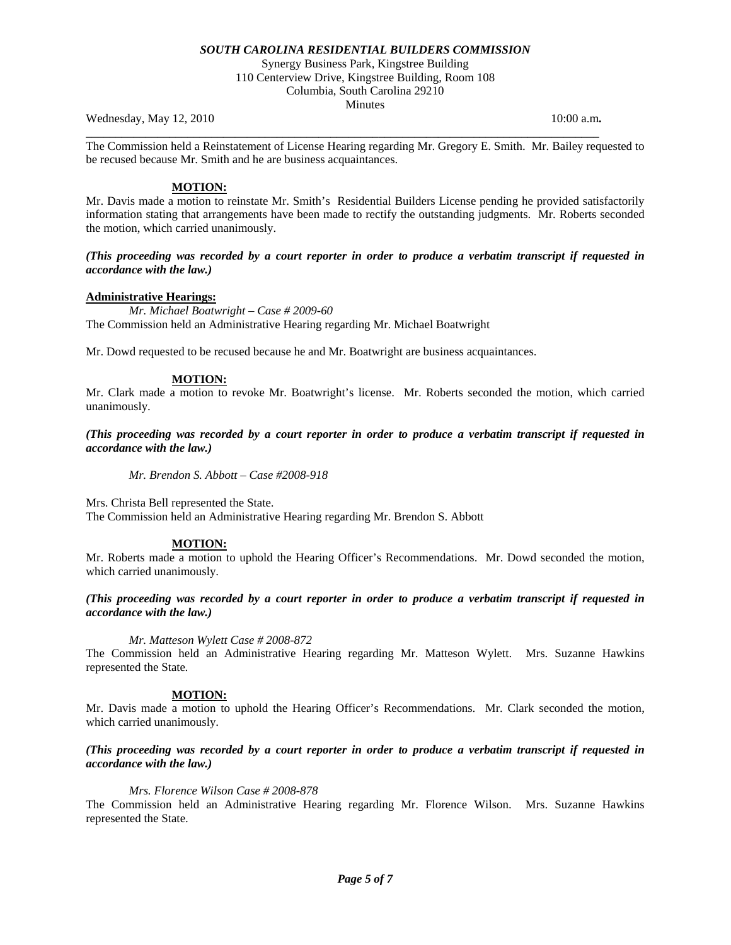Synergy Business Park, Kingstree Building 110 Centerview Drive, Kingstree Building, Room 108 Columbia, South Carolina 29210

Minutes

Wednesday, May 12, 2010 **10:00 a.m. 10:00 a.m. 10:00 a.m.** 

The Commission held a Reinstatement of License Hearing regarding Mr. Gregory E. Smith. Mr. Bailey requested to be recused because Mr. Smith and he are business acquaintances.

**\_\_\_\_\_\_\_\_\_\_\_\_\_\_\_\_\_\_\_\_\_\_\_\_\_\_\_\_\_\_\_\_\_\_\_\_\_\_\_\_\_\_\_\_\_\_\_\_\_\_\_\_\_\_\_\_\_\_\_\_\_\_\_\_\_\_\_\_\_\_\_\_\_\_\_\_\_\_\_\_\_\_\_\_\_\_** 

## **MOTION:**

Mr. Davis made a motion to reinstate Mr. Smith's Residential Builders License pending he provided satisfactorily information stating that arrangements have been made to rectify the outstanding judgments. Mr. Roberts seconded the motion, which carried unanimously.

## *(This proceeding was recorded by a court reporter in order to produce a verbatim transcript if requested in accordance with the law.)*

## **Administrative Hearings:**

 *Mr. Michael Boatwright – Case # 2009-60*  The Commission held an Administrative Hearing regarding Mr. Michael Boatwright

Mr. Dowd requested to be recused because he and Mr. Boatwright are business acquaintances.

## **MOTION:**

Mr. Clark made a motion to revoke Mr. Boatwright's license. Mr. Roberts seconded the motion, which carried unanimously.

## *(This proceeding was recorded by a court reporter in order to produce a verbatim transcript if requested in accordance with the law.)*

*Mr. Brendon S. Abbott – Case #2008-918* 

Mrs. Christa Bell represented the State.

The Commission held an Administrative Hearing regarding Mr. Brendon S. Abbott

## **MOTION:**

Mr. Roberts made a motion to uphold the Hearing Officer's Recommendations. Mr. Dowd seconded the motion, which carried unanimously.

## *(This proceeding was recorded by a court reporter in order to produce a verbatim transcript if requested in accordance with the law.)*

## *Mr. Matteson Wylett Case # 2008-872*

The Commission held an Administrative Hearing regarding Mr. Matteson Wylett. Mrs. Suzanne Hawkins represented the State*.* 

## **MOTION:**

Mr. Davis made a motion to uphold the Hearing Officer's Recommendations. Mr. Clark seconded the motion, which carried unanimously.

## *(This proceeding was recorded by a court reporter in order to produce a verbatim transcript if requested in accordance with the law.)*

## *Mrs. Florence Wilson Case # 2008-878*

The Commission held an Administrative Hearing regarding Mr. Florence Wilson. Mrs. Suzanne Hawkins represented the State.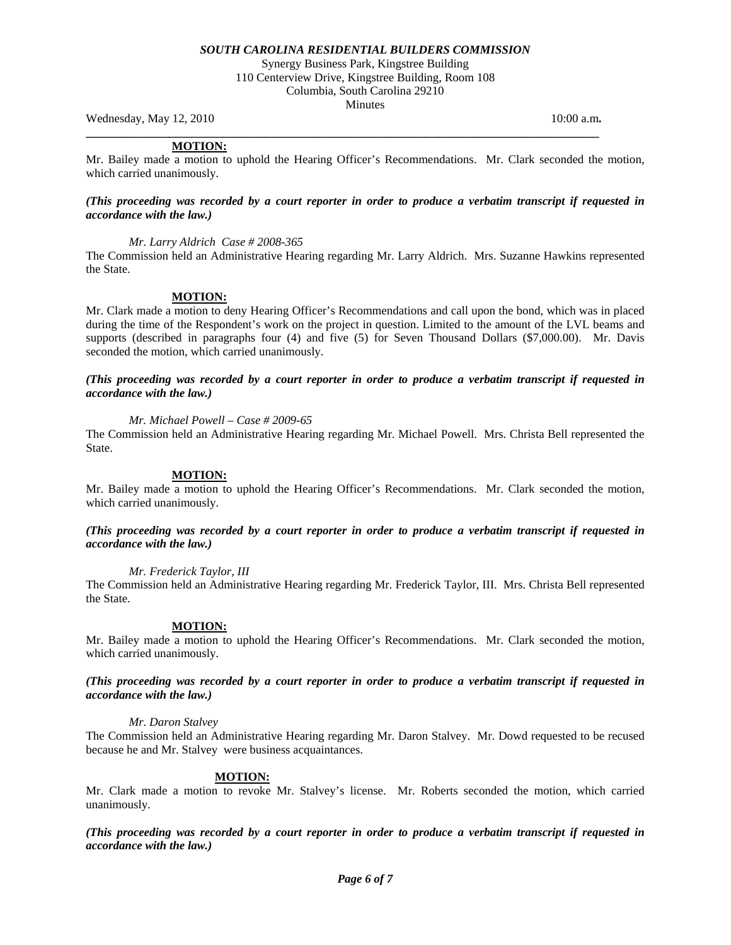Synergy Business Park, Kingstree Building 110 Centerview Drive, Kingstree Building, Room 108 Columbia, South Carolina 29210 Minutes

Wednesday, May 12, 2010 **10:00 a.m. 10:00 a.m. 10:00 a.m.** 

## **MOTION:**

Mr. Bailey made a motion to uphold the Hearing Officer's Recommendations. Mr. Clark seconded the motion, which carried unanimously.

**\_\_\_\_\_\_\_\_\_\_\_\_\_\_\_\_\_\_\_\_\_\_\_\_\_\_\_\_\_\_\_\_\_\_\_\_\_\_\_\_\_\_\_\_\_\_\_\_\_\_\_\_\_\_\_\_\_\_\_\_\_\_\_\_\_\_\_\_\_\_\_\_\_\_\_\_\_\_\_\_\_\_\_\_\_\_** 

#### *(This proceeding was recorded by a court reporter in order to produce a verbatim transcript if requested in accordance with the law.)*

## *Mr. Larry Aldrich Case # 2008-365*

The Commission held an Administrative Hearing regarding Mr. Larry Aldrich. Mrs. Suzanne Hawkins represented the State.

## **MOTION:**

Mr. Clark made a motion to deny Hearing Officer's Recommendations and call upon the bond, which was in placed during the time of the Respondent's work on the project in question. Limited to the amount of the LVL beams and supports (described in paragraphs four (4) and five (5) for Seven Thousand Dollars (\$7,000.00). Mr. Davis seconded the motion, which carried unanimously.

## *(This proceeding was recorded by a court reporter in order to produce a verbatim transcript if requested in accordance with the law.)*

## *Mr. Michael Powell – Case # 2009-65*

The Commission held an Administrative Hearing regarding Mr. Michael Powell. Mrs. Christa Bell represented the State.

## **MOTION:**

Mr. Bailey made a motion to uphold the Hearing Officer's Recommendations. Mr. Clark seconded the motion, which carried unanimously.

## *(This proceeding was recorded by a court reporter in order to produce a verbatim transcript if requested in accordance with the law.)*

## *Mr. Frederick Taylor, III*

The Commission held an Administrative Hearing regarding Mr. Frederick Taylor, III. Mrs. Christa Bell represented the State.

## **MOTION:**

Mr. Bailey made a motion to uphold the Hearing Officer's Recommendations. Mr. Clark seconded the motion, which carried unanimously.

## *(This proceeding was recorded by a court reporter in order to produce a verbatim transcript if requested in accordance with the law.)*

## *Mr. Daron Stalvey*

The Commission held an Administrative Hearing regarding Mr. Daron Stalvey. Mr. Dowd requested to be recused because he and Mr. Stalvey were business acquaintances.

## **MOTION:**

Mr. Clark made a motion to revoke Mr. Stalvey's license. Mr. Roberts seconded the motion, which carried unanimously.

*(This proceeding was recorded by a court reporter in order to produce a verbatim transcript if requested in accordance with the law.)*